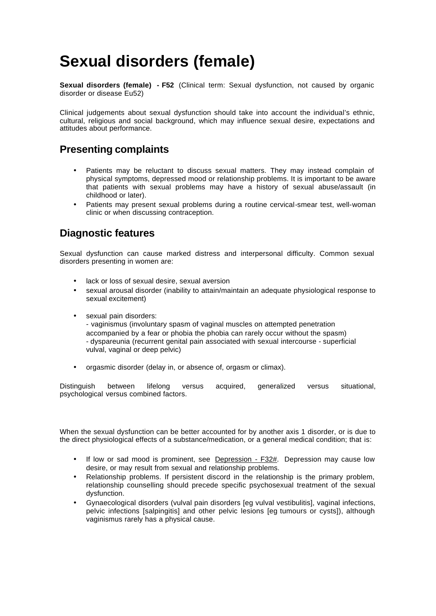# **Sexual disorders (female)**

**Sexual disorders (female) - F52** (Clinical term: Sexual dysfunction, not caused by organic disorder or disease Eu52)

Clinical judgements about sexual dysfunction should take into account the individual's ethnic, cultural, religious and social background, which may influence sexual desire, expectations and attitudes about performance.

## **Presenting complaints**

- Patients may be reluctant to discuss sexual matters. They may instead complain of physical symptoms, depressed mood or relationship problems. It is important to be aware that patients with sexual problems may have a history of sexual abuse/assault (in childhood or later).
- Patients may present sexual problems during a routine cervical-smear test, well-woman clinic or when discussing contraception.

### **Diagnostic features**

Sexual dysfunction can cause marked distress and interpersonal difficulty. Common sexual disorders presenting in women are:

- lack or loss of sexual desire, sexual aversion
- sexual arousal disorder (inability to attain/maintain an adequate physiological response to sexual excitement)
- sexual pain disorders:

- vaginismus (involuntary spasm of vaginal muscles on attempted penetration accompanied by a fear or phobia the phobia can rarely occur without the spasm) - dyspareunia (recurrent genital pain associated with sexual intercourse - superficial vulval, vaginal or deep pelvic)

• orgasmic disorder (delay in, or absence of, orgasm or climax).

Distinguish between lifelong versus acquired, generalized versus situational, psychological versus combined factors.

When the sexual dysfunction can be better accounted for by another axis 1 disorder, or is due to the direct physiological effects of a substance/medication, or a general medical condition; that is:

- If low or sad mood is prominent, see Depression  $-$  F32#. Depression may cause low desire, or may result from sexual and relationship problems.
- Relationship problems. If persistent discord in the relationship is the primary problem, relationship counselling should precede specific psychosexual treatment of the sexual dysfunction.
- Gynaecological disorders (vulval pain disorders [eg vulval vestibulitis], vaginal infections, pelvic infections [salpingitis] and other pelvic lesions [eg tumours or cysts]), although vaginismus rarely has a physical cause.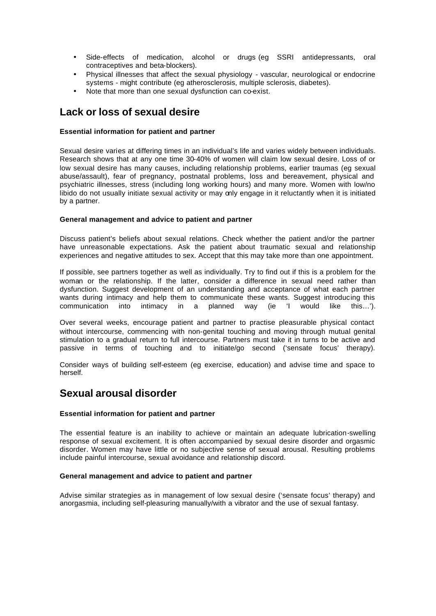- Side-effects of medication, alcohol or drugs (eg SSRI antidepressants, oral contraceptives and beta-blockers).
- Physical illnesses that affect the sexual physiology vascular, neurological or endocrine systems - might contribute (eg atherosclerosis, multiple sclerosis, diabetes).
- Note that more than one sexual dysfunction can co-exist.

### **Lack or loss of sexual desire**

### **Essential information for patient and partner**

Sexual desire varies at differing times in an individual's life and varies widely between individuals. Research shows that at any one time 30-40% of women will claim low sexual desire. Loss of or low sexual desire has many causes, including relationship problems, earlier traumas (eg sexual abuse/assault), fear of pregnancy, postnatal problems, loss and bereavement, physical and psychiatric illnesses, stress (including long working hours) and many more. Women with low/no libido do not usually initiate sexual activity or may only engage in it reluctantly when it is initiated by a partner.

### **General management and advice to patient and partner**

Discuss patient's beliefs about sexual relations. Check whether the patient and/or the partner have unreasonable expectations. Ask the patient about traumatic sexual and relationship experiences and negative attitudes to sex. Accept that this may take more than one appointment.

If possible, see partners together as well as individually. Try to find out if this is a problem for the woman or the relationship. If the latter, consider a difference in sexual need rather than dysfunction. Suggest development of an understanding and acceptance of what each partner wants during intimacy and help them to communicate these wants. Suggest introducing this communication into intimacy in a planned way (ie 'I would like this…').

Over several weeks, encourage patient and partner to practise pleasurable physical contact without intercourse, commencing with non-genital touching and moving through mutual genital stimulation to a gradual return to full intercourse. Partners must take it in turns to be active and passive in terms of touching and to initiate/go second ('sensate focus' therapy).

Consider ways of building self-esteem (eg exercise, education) and advise time and space to herself.

### **Sexual arousal disorder**

#### **Essential information for patient and partner**

The essential feature is an inability to achieve or maintain an adequate lubrication-swelling response of sexual excitement. It is often accompanied by sexual desire disorder and orgasmic disorder. Women may have little or no subjective sense of sexual arousal. Resulting problems include painful intercourse, sexual avoidance and relationship discord.

#### **General management and advice to patient and partner**

Advise similar strategies as in management of low sexual desire ('sensate focus' therapy) and anorgasmia, including self-pleasuring manually/with a vibrator and the use of sexual fantasy.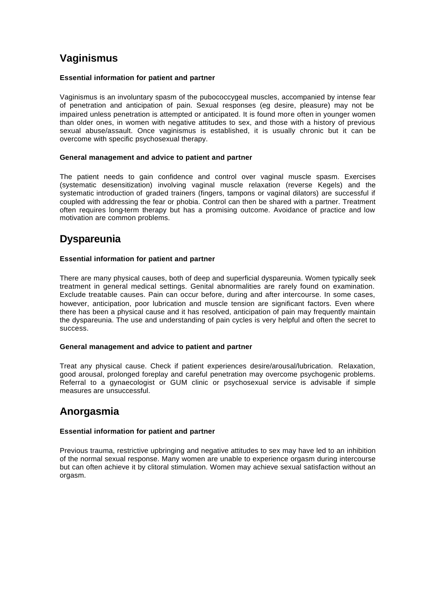# **Vaginismus**

### **Essential information for patient and partner**

Vaginismus is an involuntary spasm of the pubococcygeal muscles, accompanied by intense fear of penetration and anticipation of pain. Sexual responses (eg desire, pleasure) may not be impaired unless penetration is attempted or anticipated. It is found more often in younger women than older ones, in women with negative attitudes to sex, and those with a history of previous sexual abuse/assault. Once vaginismus is established, it is usually chronic but it can be overcome with specific psychosexual therapy.

#### **General management and advice to patient and partner**

The patient needs to gain confidence and control over vaginal muscle spasm. Exercises (systematic desensitization) involving vaginal muscle relaxation (reverse Kegels) and the systematic introduction of graded trainers (fingers, tampons or vaginal dilators) are successful if coupled with addressing the fear or phobia. Control can then be shared with a partner. Treatment often requires long-term therapy but has a promising outcome. Avoidance of practice and low motivation are common problems.

### **Dyspareunia**

### **Essential information for patient and partner**

There are many physical causes, both of deep and superficial dyspareunia. Women typically seek treatment in general medical settings. Genital abnormalities are rarely found on examination. Exclude treatable causes. Pain can occur before, during and after intercourse. In some cases, however, anticipation, poor lubrication and muscle tension are significant factors. Even where there has been a physical cause and it has resolved, anticipation of pain may frequently maintain the dyspareunia. The use and understanding of pain cycles is very helpful and often the secret to success.

#### **General management and advice to patient and partner**

Treat any physical cause. Check if patient experiences desire/arousal/lubrication. Relaxation, good arousal, prolonged foreplay and careful penetration may overcome psychogenic problems. Referral to a gynaecologist or GUM clinic or psychosexual service is advisable if simple measures are unsuccessful.

### **Anorgasmia**

### **Essential information for patient and partner**

Previous trauma, restrictive upbringing and negative attitudes to sex may have led to an inhibition of the normal sexual response. Many women are unable to experience orgasm during intercourse but can often achieve it by clitoral stimulation. Women may achieve sexual satisfaction without an orgasm.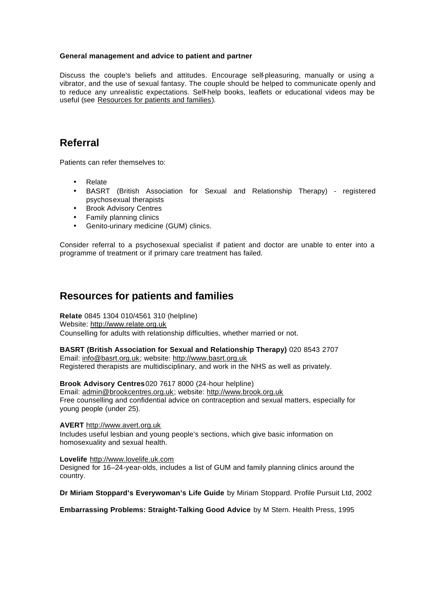#### **General management and advice to patient and partner**

Discuss the couple's beliefs and attitudes. Encourage self-pleasuring, manually or using a vibrator, and the use of sexual fantasy. The couple should be helped to communicate openly and to reduce any unrealistic expectations. Self-help books, leaflets or educational videos may be useful (see Resources for patients and families).

### **Referral**

Patients can refer themselves to:

- Relate
- BASRT (British Association for Sexual and Relationship Therapy) registered psychosexual therapists
- Brook Advisory Centres
- Family planning clinics
- Genito-urinary medicine (GUM) clinics.

Consider referral to a psychosexual specialist if patient and doctor are unable to enter into a programme of treatment or if primary care treatment has failed.

### **Resources for patients and families**

**Relate** 0845 1304 010/4561 310 (helpline) Website: http://www.relate.org.uk Counselling for adults with relationship difficulties, whether married or not.

#### **BASRT (British Association for Sexual and Relationship Therapy)** 020 8543 2707

Email: info@basrt.org.uk; website: http://www.basrt.org.uk Registered therapists are multidisciplinary, and work in the NHS as well as privately.

**Brook Advisory Centres** 020 7617 8000 (24-hour helpline)

Email: admin@brookcentres.org.uk; website: http://www.brook.org.uk Free counselling and confidential advice on contraception and sexual matters, especially for young people (under 25).

#### **AVERT** http://www.avert.org.uk

Includes useful lesbian and young people's sections, which give basic information on homosexuality and sexual health.

**Lovelife** http://www.lovelife.uk.com Designed for 16–24-year-olds, includes a list of GUM and family planning clinics around the country.

**Dr Miriam Stoppard's Everywoman's Life Guide** by Miriam Stoppard. Profile Pursuit Ltd, 2002

**Embarrassing Problems: Straight-Talking Good Advice** by M Stern. Health Press, 1995